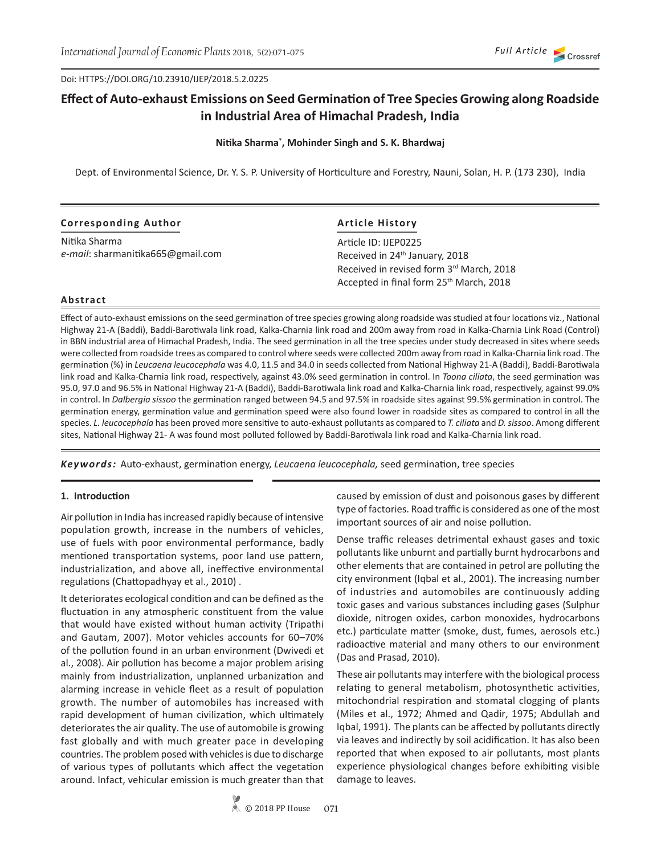Doi: HTTPS://DOI.ORG/10.23910/IJEP/2018.5.2.0225

# **Effect of Auto-exhaust Emissions on Seed Germination of Tree Species Growing along Roadside in Industrial Area of Himachal Pradesh, India**

## **Nitika Sharma\* , Mohinder Singh and S. K. Bhardwaj**

Dept. of Environmental Science, Dr. Y. S. P. University of Horticulture and Forestry, Nauni, Solan, H. P. (173 230), India

| <b>Corresponding Author</b>       | <b>Article History</b>                              |  |  |  |
|-----------------------------------|-----------------------------------------------------|--|--|--|
| Nitika Sharma                     | Article ID: IJEP0225                                |  |  |  |
| e-mail: sharmanitika665@gmail.com | Received in 24 <sup>th</sup> January, 2018          |  |  |  |
|                                   | Received in revised form 3rd March, 2018            |  |  |  |
|                                   | Accepted in final form 25 <sup>th</sup> March, 2018 |  |  |  |

## **Abstract**

Effect of auto-exhaust emissions on the seed germination of tree species growing along roadside was studied at four locations viz., National Highway 21-A (Baddi), Baddi-Barotiwala link road, Kalka-Charnia link road and 200m away from road in Kalka-Charnia Link Road (Control) in BBN industrial area of Himachal Pradesh, India. The seed germination in all the tree species under study decreased in sites where seeds were collected from roadside trees as compared to control where seeds were collected 200m away from road in Kalka-Charnia link road. The germination (%) in *Leucaena leucocephala* was 4.0, 11.5 and 34.0 in seeds collected from National Highway 21-A (Baddi), Baddi-Barotiwala link road and Kalka-Charnia link road, respectively, against 43.0% seed germination in control. In *Toona ciliata*, the seed germination was 95.0, 97.0 and 96.5% in National Highway 21-A (Baddi), Baddi-Barotiwala link road and Kalka-Charnia link road, respectively, against 99.0% in control. In *Dalbergia sissoo* the germination ranged between 94.5 and 97.5% in roadside sites against 99.5% germination in control. The germination energy, germination value and germination speed were also found lower in roadside sites as compared to control in all the species. *L. leucocephala* has been proved more sensitive to auto-exhaust pollutants as compared to *T. ciliata* and *D. sissoo*. Among different sites, National Highway 21- A was found most polluted followed by Baddi-Barotiwala link road and Kalka-Charnia link road.

*Keywords:* Auto-exhaust, germination energy, *Leucaena leucocephala,* seed germination, tree species

## **1. Introduction**

Air pollution in India has increased rapidly because of intensive population growth, increase in the numbers of vehicles, use of fuels with poor environmental performance, badly mentioned transportation systems, poor land use pattern, industrialization, and above all, ineffective environmental regulations (Chattopadhyay et al., 2010) .

It deteriorates ecological condition and can be defined as the fluctuation in any atmospheric constituent from the value that would have existed without human activity (Tripathi and Gautam, 2007). Motor vehicles accounts for 60–70% of the pollution found in an urban environment (Dwivedi et al., 2008). Air pollution has become a major problem arising mainly from industrialization, unplanned urbanization and alarming increase in vehicle fleet as a result of population growth. The number of automobiles has increased with rapid development of human civilization, which ultimately deteriorates the air quality. The use of automobile is growing fast globally and with much greater pace in developing countries. The problem posed with vehicles is due to discharge of various types of pollutants which affect the vegetation around. Infact, vehicular emission is much greater than that caused by emission of dust and poisonous gases by different type of factories. Road traffic is considered as one of the most important sources of air and noise pollution.

Dense traffic releases detrimental exhaust gases and toxic pollutants like unburnt and partially burnt hydrocarbons and other elements that are contained in petrol are polluting the city environment (Iqbal et al., 2001). The increasing number of industries and automobiles are continuously adding toxic gases and various substances including gases (Sulphur dioxide, nitrogen oxides, carbon monoxides, hydrocarbons etc.) particulate matter (smoke, dust, fumes, aerosols etc.) radioactive material and many others to our environment (Das and Prasad, 2010).

These air pollutants may interfere with the biological process relating to general metabolism, photosynthetic activities, mitochondrial respiration and stomatal clogging of plants (Miles et al., 1972; Ahmed and Qadir, 1975; Abdullah and Iqbal, 1991). The plants can be affected by pollutants directly via leaves and indirectly by soil acidification. It has also been reported that when exposed to air pollutants, most plants experience physiological changes before exhibiting visible damage to leaves.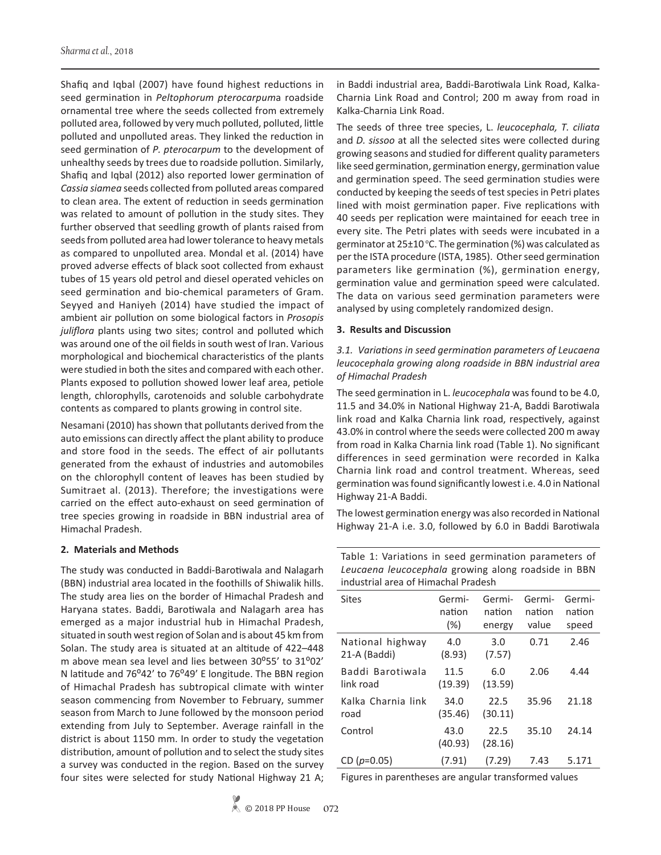Shafiq and Iqbal (2007) have found highest reductions in seed germination in *Peltophorum pterocarpum*a roadside ornamental tree where the seeds collected from extremely polluted area, followed by very much polluted, polluted, little polluted and unpolluted areas. They linked the reduction in seed germination of *P. pterocarpum* to the development of unhealthy seeds by trees due to roadside pollution. Similarly, Shafiq and Iqbal (2012) also reported lower germination of *Cassia siamea* seeds collected from polluted areas compared to clean area. The extent of reduction in seeds germination was related to amount of pollution in the study sites. They further observed that seedling growth of plants raised from seeds from polluted area had lower tolerance to heavy metals as compared to unpolluted area. Mondal et al. (2014) have proved adverse effects of black soot collected from exhaust tubes of 15 years old petrol and diesel operated vehicles on seed germination and bio-chemical parameters of Gram. Seyyed and Haniyeh (2014) have studied the impact of ambient air pollution on some biological factors in *Prosopis juliflora* plants using two sites; control and polluted which was around one of the oil fields in south west of Iran. Various morphological and biochemical characteristics of the plants were studied in both the sites and compared with each other. Plants exposed to pollution showed lower leaf area, petiole length, chlorophylls, carotenoids and soluble carbohydrate contents as compared to plants growing in control site.

Nesamani (2010) has shown that pollutants derived from the auto emissions can directly affect the plant ability to produce and store food in the seeds. The effect of air pollutants generated from the exhaust of industries and automobiles on the chlorophyll content of leaves has been studied by Sumitraet al. (2013). Therefore; the investigations were carried on the effect auto-exhaust on seed germination of tree species growing in roadside in BBN industrial area of Himachal Pradesh.

## **2. Materials and Methods**

The study was conducted in Baddi-Barotiwala and Nalagarh (BBN) industrial area located in the foothills of Shiwalik hills. The study area lies on the border of Himachal Pradesh and Haryana states. Baddi, Barotiwala and Nalagarh area has emerged as a major industrial hub in Himachal Pradesh, situated in south west region of Solan and is about 45 km from Solan. The study area is situated at an altitude of 422–448 m above mean sea level and lies between 30°55' to 31°02' N latitude and 76°42' to 76°49' E longitude. The BBN region of Himachal Pradesh has subtropical climate with winter season commencing from November to February, summer season from March to June followed by the monsoon period extending from July to September. Average rainfall in the district is about 1150 mm. In order to study the vegetation distribution, amount of pollution and to select the study sites a survey was conducted in the region. Based on the survey four sites were selected for study National Highway 21 A; in Baddi industrial area, Baddi-Barotiwala Link Road, Kalka-Charnia Link Road and Control; 200 m away from road in Kalka-Charnia Link Road.

The seeds of three tree species, L. *leucocephala, T. ciliata*  and *D. sissoo* at all the selected sites were collected during growing seasons and studied for different quality parameters like seed germination, germination energy, germination value and germination speed. The seed germination studies were conducted by keeping the seeds of test species in Petri plates lined with moist germination paper. Five replications with 40 seeds per replication were maintained for eeach tree in every site. The Petri plates with seeds were incubated in a germinator at  $25\pm10^{\circ}$ C. The germination (%) was calculated as per the ISTA procedure (ISTA, 1985). Other seed germination parameters like germination (%), germination energy, germination value and germination speed were calculated. The data on various seed germination parameters were analysed by using completely randomized design.

## **3. Results and Discussion**

*3.1. Variations in seed germination parameters of Leucaena leucocephala growing along roadside in BBN industrial area of Himachal Pradesh*

The seed germination in L. *leucocephala* was found to be 4.0, 11.5 and 34.0% in National Highway 21-A, Baddi Barotiwala link road and Kalka Charnia link road, respectively, against 43.0% in control where the seeds were collected 200 m away from road in Kalka Charnia link road (Table 1). No significant differences in seed germination were recorded in Kalka Charnia link road and control treatment. Whereas, seed germination was found significantly lowest i.e. 4.0 in National Highway 21-A Baddi.

The lowest germination energy was also recorded in National Highway 21-A i.e. 3.0, followed by 6.0 in Baddi Barotiwala

| Table 1: Variations in seed germination parameters of |  |  |  |  |
|-------------------------------------------------------|--|--|--|--|
| Leucaena leucocephala growing along roadside in BBN   |  |  |  |  |
| industrial area of Himachal Pradesh                   |  |  |  |  |

| Sites                            | Germi-<br>nation<br>$(\%)$ | Germi-<br>nation<br>energy | Germi-<br>nation<br>value | Germi-<br>nation<br>speed |
|----------------------------------|----------------------------|----------------------------|---------------------------|---------------------------|
| National highway<br>21-A (Baddi) | 4.0<br>(8.93)              | 3.0<br>(7.57)              | 0.71                      | 2.46                      |
| Baddi Barotiwala<br>link road    | 11.5<br>(19.39)            | 6.0<br>(13.59)             | 2.06                      | 4.44                      |
| Kalka Charnia link<br>road       | 34.0<br>(35.46)            | 22.5<br>(30.11)            | 35.96                     | 21.18                     |
| Control                          | 43.0<br>(40.93)            | 22.5<br>(28.16)            | 35.10                     | 24.14                     |
| CD $(p=0.05)$                    | (7.91)                     | (7.29)                     | 7.43                      | 5.171                     |

Figures in parentheses are angular transformed values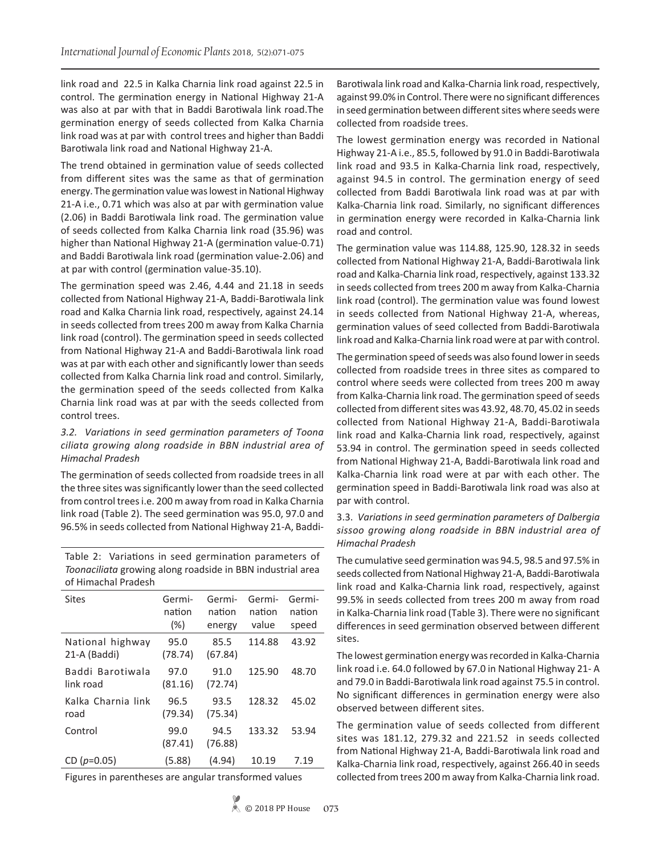link road and 22.5 in Kalka Charnia link road against 22.5 in control. The germination energy in National Highway 21-A was also at par with that in Baddi Barotiwala link road.The germination energy of seeds collected from Kalka Charnia link road was at par with control trees and higher than Baddi Barotiwala link road and National Highway 21-A.

The trend obtained in germination value of seeds collected from different sites was the same as that of germination energy. The germination value was lowest in National Highway 21-A i.e., 0.71 which was also at par with germination value (2.06) in Baddi Barotiwala link road. The germination value of seeds collected from Kalka Charnia link road (35.96) was higher than National Highway 21-A (germination value-0.71) and Baddi Barotiwala link road (germination value-2.06) and at par with control (germination value-35.10).

The germination speed was 2.46, 4.44 and 21.18 in seeds collected from National Highway 21-A, Baddi-Barotiwala link road and Kalka Charnia link road, respectively, against 24.14 in seeds collected from trees 200 m away from Kalka Charnia link road (control). The germination speed in seeds collected from National Highway 21-A and Baddi-Barotiwala link road was at par with each other and significantly lower than seeds collected from Kalka Charnia link road and control. Similarly, the germination speed of the seeds collected from Kalka Charnia link road was at par with the seeds collected from control trees.

## *3.2. Variations in seed germination parameters of Toona ciliata growing along roadside in BBN industrial area of Himachal Pradesh*

The germination of seeds collected from roadside trees in all the three sites was significantly lower than the seed collected from control trees i.e. 200 m away from road in Kalka Charnia link road (Table 2). The seed germination was 95.0, 97.0 and 96.5% in seeds collected from National Highway 21-A, Baddi-

Table 2: Variations in seed germination parameters of *Toonaciliata* growing along roadside in BBN industrial area of Himachal Pradesh

| Sites                            | Germi-<br>nation<br>$(\%)$ | Germi-<br>nation<br>energy | Germi-<br>nation<br>value | Germi-<br>nation<br>speed |
|----------------------------------|----------------------------|----------------------------|---------------------------|---------------------------|
| National highway<br>21-A (Baddi) | 95.0<br>(78.74)            | 85.5<br>(67.84)            | 114.88                    | 43.92                     |
| Baddi Barotiwala<br>link road    | 97.0<br>(81.16)            | 91.0<br>(72.74)            | 125.90                    | 48.70                     |
| Kalka Charnia link<br>road       | 96.5<br>(79.34)            | 93.5<br>(75.34)            | 128.32                    | 45.02                     |
| Control                          | 99.0<br>(87.41)            | 94.5<br>(76.88)            | 133.32                    | 53.94                     |
| CD $(p=0.05)$                    | (5.88)                     | (4.94)                     | 10.19                     | 7.19                      |

Figures in parentheses are angular transformed values

The lowest germination energy was recorded in National Highway 21-A i.e., 85.5, followed by 91.0 in Baddi-Barotiwala link road and 93.5 in Kalka-Charnia link road, respectively, against 94.5 in control. The germination energy of seed collected from Baddi Barotiwala link road was at par with Kalka-Charnia link road. Similarly, no significant differences in germination energy were recorded in Kalka-Charnia link road and control.

The germination value was 114.88, 125.90, 128.32 in seeds collected from National Highway 21-A, Baddi-Barotiwala link road and Kalka-Charnia link road, respectively, against 133.32 in seeds collected from trees 200 m away from Kalka-Charnia link road (control). The germination value was found lowest in seeds collected from National Highway 21-A, whereas, germination values of seed collected from Baddi-Barotiwala link road and Kalka-Charnia link road were at par with control.

The germination speed of seeds was also found lower in seeds collected from roadside trees in three sites as compared to control where seeds were collected from trees 200 m away from Kalka-Charnia link road. The germination speed of seeds collected from different sites was 43.92, 48.70, 45.02 in seeds collected from National Highway 21-A, Baddi-Barotiwala link road and Kalka-Charnia link road, respectively, against 53.94 in control. The germination speed in seeds collected from National Highway 21-A, Baddi-Barotiwala link road and Kalka-Charnia link road were at par with each other. The germination speed in Baddi-Barotiwala link road was also at par with control.

# 3.3. *Variations in seed germination parameters of Dalbergia sissoo growing along roadside in BBN industrial area of Himachal Pradesh*

The cumulative seed germination was 94.5, 98.5 and 97.5% in seeds collected from National Highway 21-A, Baddi-Barotiwala link road and Kalka-Charnia link road, respectively, against 99.5% in seeds collected from trees 200 m away from road in Kalka-Charnia link road (Table 3). There were no significant differences in seed germination observed between different sites.

The lowest germination energy was recorded in Kalka-Charnia link road i.e. 64.0 followed by 67.0 in National Highway 21- A and 79.0 in Baddi-Barotiwala link road against 75.5 in control. No significant differences in germination energy were also observed between different sites.

The germination value of seeds collected from different sites was 181.12, 279.32 and 221.52 in seeds collected from National Highway 21-A, Baddi-Barotiwala link road and Kalka-Charnia link road, respectively, against 266.40 in seeds collected from trees 200 m away from Kalka-Charnia link road.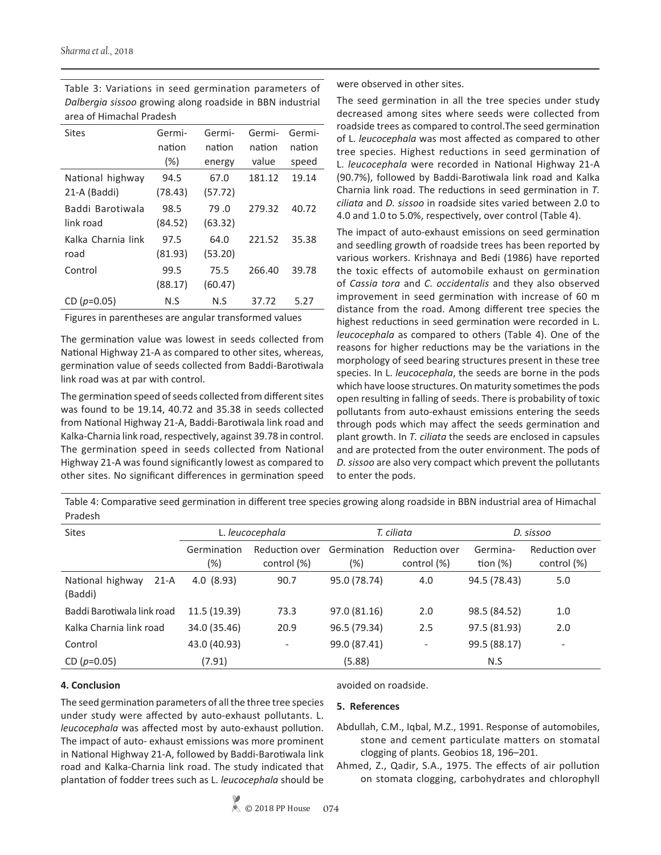| <b>Sites</b>       | Germi-  | Germi-  | Germi- | Germi- |  |
|--------------------|---------|---------|--------|--------|--|
|                    | nation  | nation  | nation | nation |  |
|                    | $(\% )$ | energy  | value  | speed  |  |
| National highway   | 94.5    | 67.0    | 181.12 | 19.14  |  |
| 21-A (Baddi)       | (78.43) | (57.72) |        |        |  |
| Baddi Barotiwala   | 98.5    | 79.0    | 279.32 | 40.72  |  |
| link road          | (84.52) | (63.32) |        |        |  |
| Kalka Charnia link | 97.5    | 64.0    | 221.52 | 35.38  |  |
| road               | (81.93) | (53.20) |        |        |  |
| Control            | 99.5    | 75.5    | 266.40 | 39.78  |  |
|                    | (88.17) | (60.47) |        |        |  |
| CD $(p=0.05)$      | N.S     | N.S     | 37.72  | 5.27   |  |

Table 3: Variations in seed germination parameters of *Dalbergia sissoo* growing along roadside in BBN industrial area of Himachal Pradesh

Figures in parentheses are angular transformed values

The germination value was lowest in seeds collected from National Highway 21-A as compared to other sites, whereas, germination value of seeds collected from Baddi-Barotiwala link road was at par with control.

The germination speed of seeds collected from different sites was found to be 19.14, 40.72 and 35.38 in seeds collected from National Highway 21-A, Baddi-Barotiwala link road and Kalka-Charnia link road, respectively, against 39.78 in control. The germination speed in seeds collected from National Highway 21-A was found significantly lowest as compared to other sites. No significant differences in germination speed

were observed in other sites.

The seed germination in all the tree species under study decreased among sites where seeds were collected from roadside trees as compared to control.The seed germination of L. *leucocephala* was most affected as compared to other tree species. Highest reductions in seed germination of L. *leucocephala* were recorded in National Highway 21-A (90.7%), followed by Baddi-Barotiwala link road and Kalka Charnia link road. The reductions in seed germination in *T. ciliata* and *D. sissoo* in roadside sites varied between 2.0 to 4.0 and 1.0 to 5.0%, respectively, over control (Table 4).

The impact of auto-exhaust emissions on seed germination and seedling growth of roadside trees has been reported by various workers. Krishnaya and Bedi (1986) have reported the toxic effects of automobile exhaust on germination of *Cassia tora* and *C. occidentalis* and they also observed improvement in seed germination with increase of 60 m distance from the road. Among different tree species the highest reductions in seed germination were recorded in L. *leucocephala* as compared to others (Table 4). One of the reasons for higher reductions may be the variations in the morphology of seed bearing structures present in these tree species. In L. *leucocephala*, the seeds are borne in the pods which have loose structures. On maturity sometimes the pods open resulting in falling of seeds. There is probability of toxic pollutants from auto-exhaust emissions entering the seeds through pods which may affect the seeds germination and plant growth. In *T. ciliata* the seeds are enclosed in capsules and are protected from the outer environment. The pods of *D. sissoo* are also very compact which prevent the pollutants to enter the pods.

Table 4: Comparative seed germination in different tree species growing along roadside in BBN industrial area of Himachal Pradesh

| <b>Sites</b>                          | L. leucocephala |                          | T. ciliata   |                          | D. sissoo    |                          |
|---------------------------------------|-----------------|--------------------------|--------------|--------------------------|--------------|--------------------------|
|                                       | Germination     | Reduction over           | Germination  | Reduction over           | Germina-     | Reduction over           |
|                                       | (%)             | control (%)              | (%)          | control (%)              | tion $(\%)$  | control (%)              |
| National highway<br>$21-A$<br>(Baddi) | 4.0(8.93)       | 90.7                     | 95.0 (78.74) | 4.0                      | 94.5 (78.43) | 5.0                      |
| Baddi Barotiwala link road            | 11.5 (19.39)    | 73.3                     | 97.0 (81.16) | 2.0                      | 98.5 (84.52) | 1.0                      |
| Kalka Charnia link road               | 34.0 (35.46)    | 20.9                     | 96.5 (79.34) | 2.5                      | 97.5 (81.93) | 2.0                      |
| Control                               | 43.0 (40.93)    | $\overline{\phantom{a}}$ | 99.0 (87.41) | $\overline{\phantom{a}}$ | 99.5 (88.17) | $\overline{\phantom{a}}$ |
| CD $(p=0.05)$                         | (7.91)          |                          | (5.88)       |                          | N.S          |                          |

# **4. Conclusion**

The seed germination parameters of all the three tree species under study were affected by auto-exhaust pollutants. L. *leucocephala* was affected most by auto-exhaust pollution. The impact of auto- exhaust emissions was more prominent in National Highway 21-A, followed by Baddi-Barotiwala link road and Kalka-Charnia link road. The study indicated that plantation of fodder trees such as L. *leucocephala* should be

## avoided on roadside.

## **5. References**

- Abdullah, C.M., Iqbal, M.Z., 1991. Response of automobiles, stone and cement particulate matters on stomatal clogging of plants. Geobios 18, 196–201.
- Ahmed, Z., Qadir, S.A., 1975. The effects of air pollution on stomata clogging, carbohydrates and chlorophyll